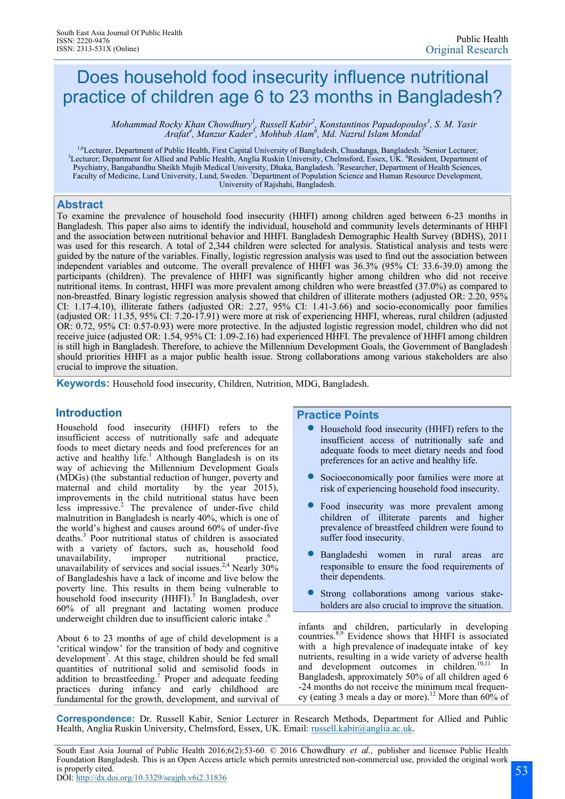# Does household food insecurity influence nutritional practice of children age 6 to 23 months in Bangladesh?

*Mohammad Rocky Khan Chowdhury<sup>1</sup>, Russell Kabir<sup>2</sup>, Konstantinos Papadopoulos<sup>3</sup>, S. M. Yasir Arafat<sup>4</sup> , Manzur Kader<sup>5</sup> , Mohbub Alam<sup>6</sup> , Md. Nazrul Islam Mondal<sup>7</sup>*

<sup>1,6</sup>Lecturer, Department of Public Health, First Capital University of Bangladesh, Chuadanga, Bangladesh. <sup>2</sup>Senior Lecturer;<br><sup>3</sup>Lecturer; Department for Allied and Public Health, Anglia Ruskin University, Chelmsford, Ess Psychiatry, Bangabandhu Sheikh Mujib Medical University, Dhaka, Bangladesh. <sup>5</sup>Researcher, Department of Health Sciences, Faculty of Medicine, Lund University, Lund, Sweden. <sup>7</sup>Department of Population Science and Human Resource Development, University of Rajshahi, Bangladesh.

### **Abstract**

To examine the prevalence of household food insecurity (HHFI) among children aged between 6-23 months in Bangladesh. This paper also aims to identify the individual, household and community levels determinants of HHFI and the association between nutritional behavior and HHFI. Bangladesh Demographic Health Survey (BDHS), 2011 was used for this research. A total of 2,344 children were selected for analysis. Statistical analysis and tests were guided by the nature of the variables. Finally, logistic regression analysis was used to find out the association between independent variables and outcome. The overall prevalence of HHFI was 36.3% (95% CI: 33.6-39.0) among the participants (children). The prevalence of HHFI was significantly higher among children who did not receive nutritional items. In contrast, HHFI was more prevalent among children who were breastfed (37.0%) as compared to non-breastfed. Binary logistic regression analysis showed that children of illiterate mothers (adjusted OR: 2.20, 95% CI: 1.17-4.10), illiterate fathers (adjusted OR: 2.27, 95% CI: 1.41-3.66) and socio-economically poor families (adjusted OR: 11.35, 95% CI: 7.20-17.91) were more at risk of experiencing HHFI, whereas, rural children (adjusted OR: 0.72, 95% CI: 0.57-0.93) were more protective. In the adjusted logistic regression model, children who did not receive juice (adjusted OR: 1.54, 95% CI: 1.09-2.16) had experienced HHFI. The prevalence of HHFI among children is still high in Bangladesh. Therefore, to achieve the Millennium Development Goals, the Government of Bangladesh should priorities HHFI as a major public health issue. Strong collaborations among various stakeholders are also crucial to improve the situation.

**Keywords:** Household food insecurity, Children, Nutrition, MDG, Bangladesh.

Household food insecurity (HHFI) refers to the insufficient access of nutritionally safe and adequate foods to meet dietary needs and food preferences for an active and healthy life.<sup>1</sup> Although Bangladesh is on its way of achieving the Millennium Development Goals (MDGs) (the substantial reduction of hunger, poverty and maternal and child mortality by the year 2015), improvements in the child nutritional status have been less impressive. $2$  The prevalence of under-five child malnutrition in Bangladesh is nearly 40%, which is one of the world's highest and causes around 60% of under-five deaths.<sup>3</sup> Poor nutritional status of children is associated with a variety of factors, such as, household food unavailability, improper nutritional practice, unavailability of services and social issues.<sup>2,4</sup> Nearly  $30\%$ of Bangladeshis have a lack of income and live below the poverty line. This results in them being vulnerable to household food insecurity (HHFI).<sup>5</sup> In Bangladesh, over 60% of all pregnant and lactating women produce underweight children due to insufficient caloric intake.<sup>6</sup>

About 6 to 23 months of age of child development is a 'critical window' for the transition of body and cognitive development<sup>7</sup>. At this stage, children should be fed small quantities of nutritional solid and semisolid foods in  $a$ ddition to breastfeeding.<sup>7</sup> Proper and adequate feeding practices during infancy and early childhood are fundamental for the growth, development, and survival of

# **Introduction Practice Points**

- Household food insecurity (HHFI) refers to the insufficient access of nutritionally safe and adequate foods to meet dietary needs and food preferences for an active and healthy life.
- Socioeconomically poor families were more at risk of experiencing household food insecurity.
- Food insecurity was more prevalent among children of illiterate parents and higher prevalence of breastfeed children were found to suffer food insecurity.
- Bangladeshi women in rural areas are responsible to ensure the food requirements of their dependents.
- Strong collaborations among various stakeholders are also crucial to improve the situation.

infants and children, particularly in developing countries.8,9 Evidence shows that HHFI is associated with a high prevalence of inadequate intake of key nutrients, resulting in a wide variety of adverse health and development outcomes in children.<sup>10,11</sup> In Bangladesh, approximately 50% of all children aged 6 -24 months do not receive the minimum meal frequency (eating 3 meals a day or more).<sup>12</sup> More than  $60\%$  of

**Correspondence:** Dr. Russell Kabir, Senior Lecturer in Research Methods, Department for Allied and Public Health, Anglia Ruskin University, Chelmsford, Essex, UK. Email: [russell.kabir@anglia.ac.uk.](mailto:russell.kabir@anglia.ac.uk)

South East Asia Journal of Public Health 2016;6(2):53-60. © 2016 Chowdhury *et al.,* publisher and licensee Public Health Foundation Bangladesh. This is an Open Access article which permits unrestricted non-commercial use, provided the original work is properly cited. DOI:<http://dx.doi.org/10.3329/seajph.v6i2.31836>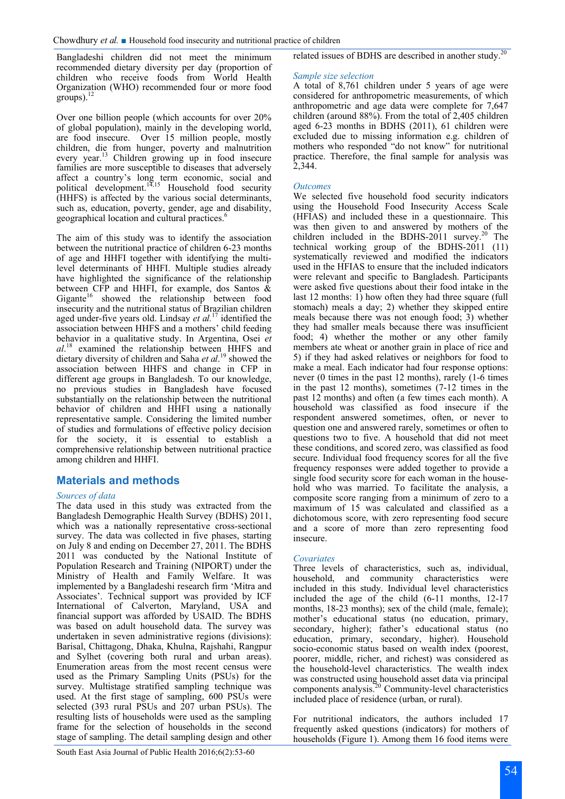Bangladeshi children did not meet the minimum recommended dietary diversity per day (proportion of children who receive foods from World Health Organization (WHO) recommended four or more food groups). $^{12}$ 

Over one billion people (which accounts for over 20% of global population), mainly in the developing world, are food insecure. Over 15 million people, mostly children, die from hunger, poverty and malnutrition every year.<sup>13</sup> Children growing up in food insecure families are more susceptible to diseases that adversely affect a country's long term economic, social and political development.<sup>14,15</sup> Household food security (HHFS) is affected by the various social determinants, such as, education, poverty, gender, age and disability, geographical location and cultural practices.<sup>6</sup>  $\overline{a}$ 

The aim of this study was to identify the association between the nutritional practice of children 6-23 months of age and HHFI together with identifying the multilevel determinants of HHFI. Multiple studies already have highlighted the significance of the relationship between CFP and HHFI, for example, dos Santos & Gigante<sup>16</sup> showed the relationship between food insecurity and the nutritional status of Brazilian children aged under-five years old. Lindsay *et al.*<sup>17</sup> identified the association between HHFS and a mothers' child feeding behavior in a qualitative study. In Argentina, Osei *et al*. <sup>18</sup> examined the relationship between HHFS and dietary diversity of children and Saha *et al*. <sup>19</sup> showed the association between HHFS and change in CFP in different age groups in Bangladesh. To our knowledge, no previous studies in Bangladesh have focused substantially on the relationship between the nutritional behavior of children and HHFI using a nationally representative sample. Considering the limited number of studies and formulations of effective policy decision for the society, it is essential to establish a comprehensive relationship between nutritional practice among children and HHFI.

# **Materials and methods**

#### *Sources of data*

The data used in this study was extracted from the Bangladesh Demographic Health Survey (BDHS) 2011, which was a nationally representative cross-sectional survey. The data was collected in five phases, starting on July 8 and ending on December 27, 2011. The BDHS 2011 was conducted by the National Institute of Population Research and Training (NIPORT) under the Ministry of Health and Family Welfare. It was implemented by a Bangladeshi research firm 'Mitra and Associates'. Technical support was provided by ICF International of Calverton, Maryland, USA and financial support was afforded by USAID. The BDHS was based on adult household data. The survey was undertaken in seven administrative regions (divisions): Barisal, Chittagong, Dhaka, Khulna, Rajshahi, Rangpur and Sylhet (covering both rural and urban areas). Enumeration areas from the most recent census were used as the Primary Sampling Units (PSUs) for the survey. Multistage stratified sampling technique was used. At the first stage of sampling, 600 PSUs were selected (393 rural PSUs and 207 urban PSUs). The resulting lists of households were used as the sampling frame for the selection of households in the second stage of sampling. The detail sampling design and other

related issues of BDHS are described in another study.<sup>20</sup>

#### *Sample size selection*

A total of 8,761 children under 5 years of age were considered for anthropometric measurements, of which anthropometric and age data were complete for 7,647 children (around 88%). From the total of 2,405 children aged 6-23 months in BDHS (2011), 61 children were excluded due to missing information e.g. children of mothers who responded "do not know" for nutritional practice. Therefore, the final sample for analysis was 2,344.

#### *Outcomes*

We selected five household food security indicators using the Household Food Insecurity Access Scale (HFIAS) and included these in a questionnaire. This was then given to and answered by mothers of the children included in the BDHS-2011 survey.<sup>20</sup> The technical working group of the BDHS-2011 (11) systematically reviewed and modified the indicators used in the HFIAS to ensure that the included indicators were relevant and specific to Bangladesh. Participants were asked five questions about their food intake in the last 12 months: 1) how often they had three square (full stomach) meals a day; 2) whether they skipped entire meals because there was not enough food; 3) whether they had smaller meals because there was insufficient food; 4) whether the mother or any other family members ate wheat or another grain in place of rice and 5) if they had asked relatives or neighbors for food to make a meal. Each indicator had four response options: never (0 times in the past 12 months), rarely (1-6 times in the past 12 months), sometimes (7-12 times in the past 12 months) and often (a few times each month). A household was classified as food insecure if the respondent answered sometimes, often, or never to question one and answered rarely, sometimes or often to questions two to five. A household that did not meet these conditions, and scored zero, was classified as food secure. Individual food frequency scores for all the five frequency responses were added together to provide a single food security score for each woman in the household who was married. To facilitate the analysis, a composite score ranging from a minimum of zero to a maximum of 15 was calculated and classified as a dichotomous score, with zero representing food secure and a score of more than zero representing food insecure.

#### *Covariates*

Three levels of characteristics, such as, individual, household, and community characteristics were included in this study. Individual level characteristics included the age of the child (6-11 months, 12-17 months, 18-23 months); sex of the child (male, female); mother's educational status (no education, primary, secondary, higher); father's educational status (no education, primary, secondary, higher). Household socio-economic status based on wealth index (poorest, poorer, middle, richer, and richest) was considered as the household-level characteristics. The wealth index was constructed using household asset data via principal components analysis.<sup>20</sup> Community-level characteristics included place of residence (urban, or rural).

For nutritional indicators, the authors included 17 frequently asked questions (indicators) for mothers of households (Figure 1). Among them 16 food items were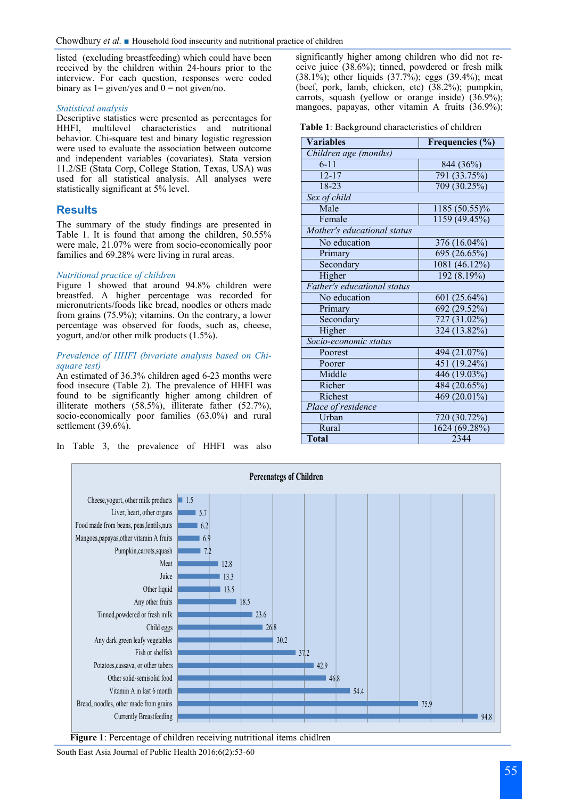listed (excluding breastfeeding) which could have been received by the children within 24-hours prior to the interview. For each question, responses were coded binary as  $1 =$  given/yes and  $0 =$  not given/no.

#### *Statistical analysis*

Descriptive statistics were presented as percentages for HHFI, multilevel characteristics and nutritional behavior. Chi-square test and binary logistic regression were used to evaluate the association between outcome and independent variables (covariates). Stata version 11.2/SE (Stata Corp, College Station, Texas, USA) was used for all statistical analysis. All analyses were statistically significant at 5% level.

## **Results**

The summary of the study findings are presented in Table 1. It is found that among the children, 50.55% were male, 21.07% were from socio-economically poor families and 69.28% were living in rural areas.

#### *Nutritional practice of children*

Figure 1 showed that around 94.8% children were breastfed. A higher percentage was recorded for micronutrients/foods like bread, noodles or others made from grains (75.9%); vitamins. On the contrary, a lower percentage was observed for foods, such as, cheese, yogurt, and/or other milk products (1.5%).

#### *Prevalence of HHFI (bivariate analysis based on Chisquare test)*

An estimated of 36.3% children aged 6-23 months were food insecure (Table 2). The prevalence of HHFI was found to be significantly higher among children of illiterate mothers (58.5%), illiterate father (52.7%), socio-economically poor families (63.0%) and rural settlement (39.6%).

In Table 3, the prevalence of HHFI was also

significantly higher among children who did not receive juice (38.6%); tinned, powdered or fresh milk (38.1%); other liquids  $(37.7\%)$ ; eggs  $(39.4\%)$ ; meat (beef, pork, lamb, chicken, etc) (38.2%); pumpkin, carrots, squash (yellow or orange inside) (36.9%); mangoes, papayas, other vitamin A fruits (36.9%);

**Table 1**: Background characteristics of children

| <b>Variables</b>            | Frequencies (%)           |  |  |
|-----------------------------|---------------------------|--|--|
| Children age (months)       |                           |  |  |
| $6 - 11$                    | 844 (36%)                 |  |  |
| $12 - 17$                   | $\overline{791}$ (33.75%) |  |  |
| $18 - 23$                   | 709 (30.25%)              |  |  |
| Sex of child                |                           |  |  |
| Male                        | 1185 (50.55)%             |  |  |
| Female                      | 1159 (49.45%)             |  |  |
| Mother's educational status |                           |  |  |
| No education                | 376 (16.04%)              |  |  |
| Primary                     | 695 (26.65%)              |  |  |
| Secondary                   | 1081 (46.12%)             |  |  |
| Higher                      | 192(8.19%)                |  |  |
| Father's educational status |                           |  |  |
| No education                | 601 (25.64%)              |  |  |
| Primary                     | 692 (29.52%)              |  |  |
| Secondary                   | 727 (31.02%)              |  |  |
| Higher                      | 324 (13.82%)              |  |  |
| Socio-economic status       |                           |  |  |
| Poorest                     | 494 (21.07%)              |  |  |
| Poorer                      | $\overline{451}$ (19.24%) |  |  |
| Middle                      | 446 (19.03%)              |  |  |
| Richer                      | 484 (20.65%)              |  |  |
| Richest                     | 469 (20.01%)              |  |  |
| Place of residence          |                           |  |  |
| Urban                       | 720 (30.72%)              |  |  |
| Rural                       | 1624 (69.28%)             |  |  |
| <b>Total</b>                | 2344                      |  |  |



**Figure 1**: Percentage of children receiving nutritional items chidlren

South East Asia Journal of Public Health 2016;6(2):53-60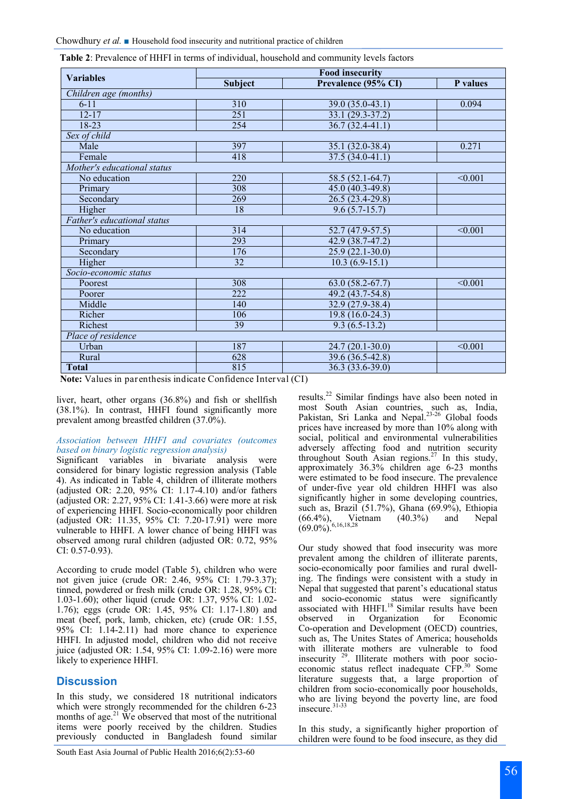| <b>Table 2:</b> Prevalence of HHFI in terms of individual, household and community levels factors |  |  |
|---------------------------------------------------------------------------------------------------|--|--|
|---------------------------------------------------------------------------------------------------|--|--|

| <b>Variables</b>            | <b>Food insecurity</b> |                     |                |  |  |
|-----------------------------|------------------------|---------------------|----------------|--|--|
|                             | <b>Subject</b>         | Prevalence (95% CI) | P values       |  |  |
| Children age (months)       |                        |                     |                |  |  |
| $6 - 11$                    | 310                    | $39.0(35.0-43.1)$   | 0.094          |  |  |
| $12 - 17$                   | 251                    | $33.1(29.3-37.2)$   |                |  |  |
| 18-23                       | 254                    | $36.7(32.4 - 41.1)$ |                |  |  |
| Sex of child                |                        |                     |                |  |  |
| Male                        | 397                    | 35.1 (32.0-38.4)    | 0.271          |  |  |
| Female                      | 418                    | $37.5(34.0-41.1)$   |                |  |  |
| Mother's educational status |                        |                     |                |  |  |
| No education                | 220                    | 58.5 (52.1-64.7)    | < 0.001        |  |  |
| Primary                     | 308                    | $45.0(40.3-49.8)$   |                |  |  |
| Secondary                   | 269                    | 26.5 (23.4-29.8)    |                |  |  |
| Higher                      | $\overline{18}$        | $9.6(5.7-15.7)$     |                |  |  |
| Father's educational status |                        |                     |                |  |  |
| No education                | 314                    | $52.7(47.9-57.5)$   | < 0.001        |  |  |
| Primary                     | 293                    | 42.9 (38.7-47.2)    |                |  |  |
| Secondary                   | 176                    | $25.9(22.1-30.0)$   |                |  |  |
| Higher                      | 32                     | $10.3(6.9-15.1)$    |                |  |  |
| Socio-economic status       |                        |                     |                |  |  |
| Poorest                     | 308                    | $63.0(58.2-67.7)$   | < 0.001        |  |  |
| Poorer                      | 222                    | 49.2 (43.7-54.8)    |                |  |  |
| Middle                      | 140                    | $32.9(27.9-38.4)$   |                |  |  |
| Richer                      | 106                    | 19.8 (16.0-24.3)    |                |  |  |
| Richest                     | $\overline{39}$        | $9.3(6.5-13.2)$     |                |  |  |
| Place of residence          |                        |                     |                |  |  |
| Urban                       | 187                    | $24.7(20.1-30.0)$   | $\sqrt{0.001}$ |  |  |
| Rural                       | 628                    | 39.6 (36.5-42.8)    |                |  |  |
| <b>Total</b>                | 815                    | $36.3(33.6-39.0)$   |                |  |  |

**Note:** Values in parenthesis indicate Confidence Interval (CI)

liver, heart, other organs (36.8%) and fish or shellfish (38.1%). In contrast, HHFI found significantly more prevalent among breastfed children (37.0%).

#### *Association between HHFI and covariates (outcomes based on binary logistic regression analysis)*

Significant variables in bivariate analysis were considered for binary logistic regression analysis (Table 4). As indicated in Table 4, children of illiterate mothers (adjusted OR: 2.20, 95% CI: 1.17-4.10) and/or fathers (adjusted OR: 2.27, 95% CI: 1.41-3.66) were more at risk of experiencing HHFI. Socio-economically poor children (adjusted OR: 11.35, 95% CI: 7.20-17.91) were more vulnerable to HHFI. A lower chance of being HHFI was observed among rural children (adjusted OR: 0.72, 95% CI: 0.57-0.93).

According to crude model (Table 5), children who were not given juice (crude OR: 2.46, 95% CI: 1.79-3.37); tinned, powdered or fresh milk (crude OR: 1.28, 95% CI: 1.03-1.60); other liquid (crude OR: 1.37, 95% CI: 1.02- 1.76); eggs (crude OR: 1.45, 95% CI: 1.17-1.80) and meat (beef, pork, lamb, chicken, etc) (crude OR: 1.55, 95% CI: 1.14-2.11) had more chance to experience HHFI. In adjusted model, children who did not receive juice (adjusted OR: 1.54, 95% CI: 1.09-2.16) were more likely to experience HHFI.

### **Discussion**

In this study, we considered 18 nutritional indicators which were strongly recommended for the children 6-23 months of age.<sup>21</sup> We observed that most of the nutritional items were poorly received by the children. Studies previously conducted in Bangladesh found similar

results.<sup>22</sup> Similar findings have also been noted in most South Asian countries, such as, India, Pakistan, Sri Lanka and Nepal.<sup>23-26</sup> Global foods prices have increased by more than 10% along with social, political and environmental vulnerabilities adversely affecting food and nutrition security throughout South Asian regions.<sup>27</sup> In this study, approximately 36.3% children age 6-23 months were estimated to be food insecure. The prevalence of under-five year old children HHFI was also significantly higher in some developing countries, such as, Brazil (51.7%), Ghana (69.9%), Ethiopia (66.4%), Vietnam (40.3%) and Nepal  $(69.0\%)^{6,16,18,28}$ 

Our study showed that food insecurity was more prevalent among the children of illiterate parents, socio-economically poor families and rural dwelling. The findings were consistent with a study in Nepal that suggested that parent's educational status and socio-economic status were significantly associated with HHFI.<sup>18</sup> Similar results have been observed in Organization for Economic Co-operation and Development (OECD) countries, such as, The Unites States of America; households with illiterate mothers are vulnerable to food insecurity <sup>29</sup>. Illiterate mothers with poor socioeconomic status reflect inadequate CFP.<sup>30</sup> Some literature suggests that, a large proportion of children from socio-economically poor households, who are living beyond the poverty line, are food insecure.<sup>31-33</sup>

In this study, a significantly higher proportion of children were found to be food insecure, as they did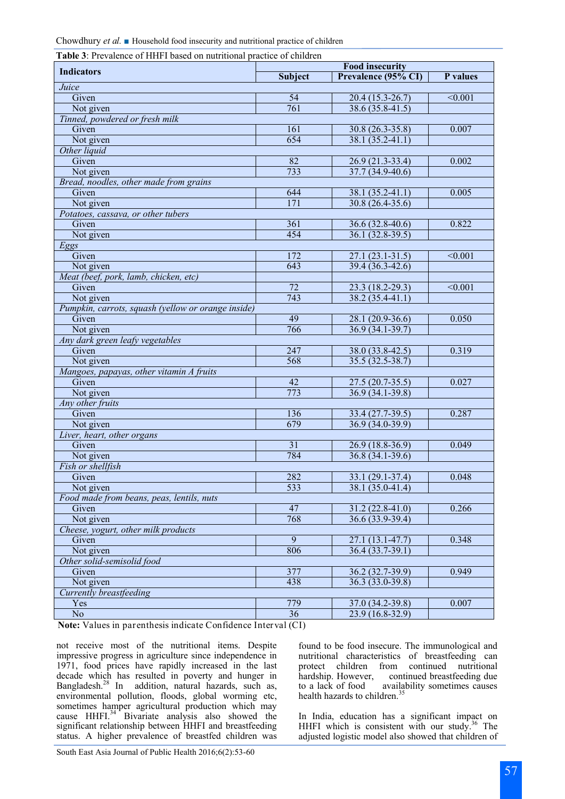|  |  | Chowdhury et al. Household food insecurity and nutritional practice of children |
|--|--|---------------------------------------------------------------------------------|
|--|--|---------------------------------------------------------------------------------|

| <b>Table 3:</b> Prevalence of HHFI based on nutritional practice of children |  |  |
|------------------------------------------------------------------------------|--|--|
|                                                                              |  |  |

| <b>Indicators</b>                                  | <b>Food insecurity</b> |                     |                    |  |
|----------------------------------------------------|------------------------|---------------------|--------------------|--|
|                                                    | <b>Subject</b>         | Prevalence (95% CI) | P values           |  |
| Juice                                              |                        |                     |                    |  |
| Given                                              | $\overline{54}$        | $20.4(15.3-26.7)$   | $\overline{0.001}$ |  |
| Not given                                          | 761                    | $38.6(35.8-41.5)$   |                    |  |
| Tinned, powdered or fresh milk                     |                        |                     |                    |  |
| Given                                              | 161                    | 30.8 (26.3-35.8)    | 0.007              |  |
| Not given                                          | 654                    | $38.1(35.2 - 41.1)$ |                    |  |
| Other liquid                                       |                        |                     |                    |  |
| Given                                              | 82                     | $26.9(21.3-33.4)$   | 0.002              |  |
| Not given                                          | 733                    | $37.7(34.9-40.6)$   |                    |  |
| Bread, noodles, other made from grains             |                        |                     |                    |  |
| Given                                              | 644                    | 38.1 (35.2-41.1)    | 0.005              |  |
| Not given                                          | 171                    | 30.8 (26.4-35.6)    |                    |  |
| Potatoes, cassava, or other tubers                 |                        |                     |                    |  |
| Given                                              | 361                    | $36.6(32.8-40.6)$   | 0.822              |  |
| Not given                                          | 454                    | $36.1(32.8-39.5)$   |                    |  |
| Eggs                                               |                        |                     |                    |  |
| Given                                              | 172                    | $27.1(23.1 - 31.5)$ | < 0.001            |  |
| Not given                                          | 643                    | $39.4(36.3-42.6)$   |                    |  |
| Meat (beef, pork, lamb, chicken, etc)              |                        |                     |                    |  |
| Given                                              | 72                     | $23.3(18.2 - 29.3)$ | $\overline{0.001}$ |  |
| Not given                                          | 743                    | $38.2(35.4 - 41.1)$ |                    |  |
| Pumpkin, carrots, squash (yellow or orange inside) |                        |                     |                    |  |
| Given                                              | 49                     | $28.1(20.9-36.6)$   | 0.050              |  |
| Not given                                          | 766                    | $36.9(34.1-39.7)$   |                    |  |
| Any dark green leafy vegetables                    |                        |                     |                    |  |
| Given                                              | 247                    | 38.0 (33.8-42.5)    | 0.319              |  |
| Not given                                          | 568                    | $35.5(32.5-38.7)$   |                    |  |
| Mangoes, papayas, other vitamin A fruits           |                        |                     |                    |  |
| Given                                              | $\overline{42}$        | 27.5 (20.7-35.5)    | 0.027              |  |
| Not given                                          | 773                    | $36.9(34.1-39.8)$   |                    |  |
| Any other fruits                                   |                        |                     |                    |  |
| Given                                              | 136                    | 33.4 (27.7-39.5)    | 0.287              |  |
| Not given                                          | 679                    | $36.9(34.0-39.9)$   |                    |  |
| Liver, heart, other organs                         |                        |                     |                    |  |
| Given                                              | $\overline{31}$        | $26.9(18.8-36.9)$   | 0.049              |  |
| Not given                                          | 784                    | $36.8(34.1-39.6)$   |                    |  |
| Fish or shellfish                                  |                        |                     |                    |  |
| Given                                              | 282                    | $33.1(29.1 - 37.4)$ | 0.048              |  |
| Not given                                          | 533                    | $38.1(35.0-41.4)$   |                    |  |
| Food made from beans, peas, lentils, nuts          |                        |                     |                    |  |
| Given                                              | 47                     | $31.2(22.8-41.0)$   | 0.266              |  |
| Not given                                          | 768                    | $36.6(33.9-39.4)$   |                    |  |
| Cheese, yogurt, other milk products                |                        |                     |                    |  |
| Given                                              | $\overline{9}$         | $27.1(13.1-47.7)$   | 0.348              |  |
| Not given                                          | 806                    | $36.4(33.7-39.1)$   |                    |  |
| Other solid-semisolid food                         |                        |                     |                    |  |
| Given                                              | 377                    | $36.2(32.7-39.9)$   | 0.949              |  |
| Not given                                          | 438                    | $36.3(33.0-39.8)$   |                    |  |
| Currently breastfeeding                            |                        |                     |                    |  |
| Yes                                                | 779                    | 37.0 (34.2-39.8)    | 0.007              |  |
| $\rm No$                                           | 36                     | 23.9 (16.8-32.9)    |                    |  |

**Note:** Values in parenthesis indicate Confidence Interval (CI)

not receive most of the nutritional items. Despite impressive progress in agriculture since independence in 1971, food prices have rapidly increased in the last decade which has resulted in poverty and hunger in Bangladesh.<sup>28</sup> In addition, natural hazards, such as, environmental pollution, floods, global worming etc, sometimes hamper agricultural production which may cause HHFI.<sup>34</sup> Bivariate analysis also showed the significant relationship between HHFI and breastfeeding status. A higher prevalence of breastfed children was

found to be food insecure. The immunological and nutritional characteristics of breastfeeding can protect children from continued nutritional hardship. However, continued breastfeeding due to a lack of food availability sometimes causes health hazards to children.<sup>35</sup>

In India, education has a significant impact on HHFI which is consistent with our study.<sup>36</sup> The adjusted logistic model also showed that children of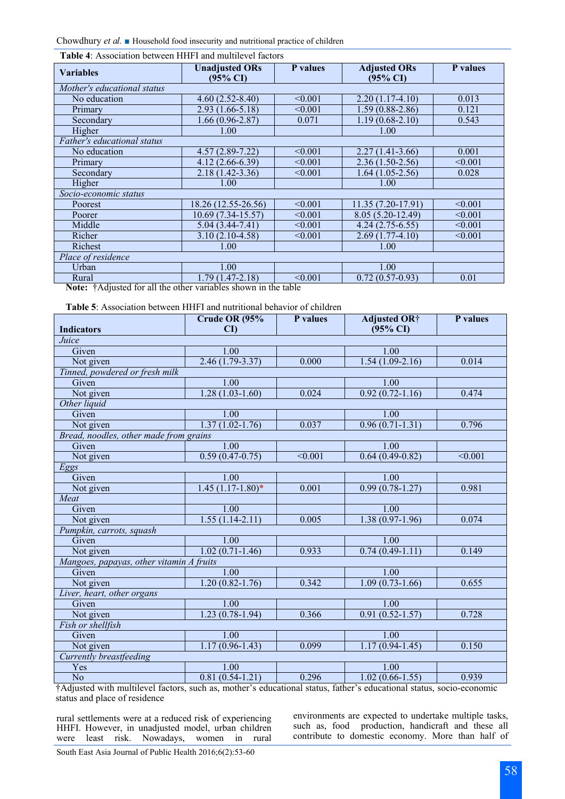Chowdhury *et al.* In Household food insecurity and nutritional practice of children

| <b>Variables</b>                                                                                                                                                                                                                                                                                                                                                                                                                                                               | <b>Unadjusted ORs</b><br>$(95\% \text{ CI})$ | P values | <b>Adjusted ORs</b><br>$(95\% \text{ CI})$ | P values |
|--------------------------------------------------------------------------------------------------------------------------------------------------------------------------------------------------------------------------------------------------------------------------------------------------------------------------------------------------------------------------------------------------------------------------------------------------------------------------------|----------------------------------------------|----------|--------------------------------------------|----------|
| Mother's educational status                                                                                                                                                                                                                                                                                                                                                                                                                                                    |                                              |          |                                            |          |
| No education                                                                                                                                                                                                                                                                                                                                                                                                                                                                   | $4.60(2.52 - 8.40)$                          | < 0.001  | $2.20(1.17-4.10)$                          | 0.013    |
| Primary                                                                                                                                                                                                                                                                                                                                                                                                                                                                        | $2.93(1.66-5.18)$                            | < 0.001  | $1.59(0.88-2.86)$                          | 0.121    |
| Secondary                                                                                                                                                                                                                                                                                                                                                                                                                                                                      | $1.66(0.96-2.87)$                            | 0.071    | $1.19(0.68 - 2.10)$                        | 0.543    |
| Higher                                                                                                                                                                                                                                                                                                                                                                                                                                                                         | 1.00                                         |          | 1.00                                       |          |
| Father's educational status                                                                                                                                                                                                                                                                                                                                                                                                                                                    |                                              |          |                                            |          |
| No education                                                                                                                                                                                                                                                                                                                                                                                                                                                                   | $4.57(2.89 - 7.22)$                          | < 0.001  | $2.27(1.41-3.66)$                          | 0.001    |
| Primary                                                                                                                                                                                                                                                                                                                                                                                                                                                                        | $4.12(2.66-6.39)$                            | < 0.001  | $2.36(1.50-2.56)$                          | < 0.001  |
| Secondary                                                                                                                                                                                                                                                                                                                                                                                                                                                                      | $2.18(1.42-3.36)$                            | < 0.001  | $1.64(1.05-2.56)$                          | 0.028    |
| Higher                                                                                                                                                                                                                                                                                                                                                                                                                                                                         | 1.00                                         |          | 1.00                                       |          |
| Socio-economic status                                                                                                                                                                                                                                                                                                                                                                                                                                                          |                                              |          |                                            |          |
| Poorest                                                                                                                                                                                                                                                                                                                                                                                                                                                                        | 18.26 (12.55-26.56)                          | < 0.001  | $11.35(7.20-17.91)$                        | < 0.001  |
| Poorer                                                                                                                                                                                                                                                                                                                                                                                                                                                                         | $10.69(7.34-15.57)$                          | < 0.001  | 8.05 (5.20-12.49)                          | < 0.001  |
| Middle                                                                                                                                                                                                                                                                                                                                                                                                                                                                         | $5.04(3.44 - 7.41)$                          | < 0.001  | $4.24(2.75-6.55)$                          | < 0.001  |
| Richer                                                                                                                                                                                                                                                                                                                                                                                                                                                                         | $3.10(2.10-4.58)$                            | < 0.001  | $2.69(1.77-4.10)$                          | < 0.001  |
| Richest                                                                                                                                                                                                                                                                                                                                                                                                                                                                        | 1.00                                         |          | 1.00                                       |          |
| Place of residence                                                                                                                                                                                                                                                                                                                                                                                                                                                             |                                              |          |                                            |          |
| Urban                                                                                                                                                                                                                                                                                                                                                                                                                                                                          | 1.00                                         |          | 1.00                                       |          |
| Rural                                                                                                                                                                                                                                                                                                                                                                                                                                                                          | $1.79(1.47-2.18)$                            | < 0.001  | $0.72(0.57-0.93)$                          | 0.01     |
| $\overline{1}$ and $\overline{1}$ and $\overline{1}$ and $\overline{1}$ and $\overline{1}$ and $\overline{1}$ and $\overline{1}$ and $\overline{1}$ and $\overline{1}$ and $\overline{1}$ and $\overline{1}$ and $\overline{1}$ and $\overline{1}$ and $\overline{1}$ and $\overline{1}$ and $\overline{1}$ and $\overline{1}$ and<br>$\mathbf{M}$ . $\mathbf{A}$ . $\mathbf{M}$ . $\mathbf{M}$ . $\mathbf{M}$ . $\mathbf{M}$ . $\mathbf{M}$<br>$\cdot$ 11. $\cdot$ 1. $\cdot$ |                                              |          |                                            |          |

**Table 4**: Association between HHFI and multilevel factors

**Note:** †Adjusted for all the other variables shown in the table

**Table 5**: Association between HHFI and nutritional behavior of children

|                                          | Crude OR (95%          | P values           | <b>Adjusted OR†</b> | P values           |
|------------------------------------------|------------------------|--------------------|---------------------|--------------------|
| <b>Indicators</b>                        | $\mathbf{C}\mathbf{D}$ |                    | $(95\% \text{ CI})$ |                    |
| Juice                                    |                        |                    |                     |                    |
| Given                                    | 1.00                   |                    | $\overline{1.00}$   |                    |
| Not given                                | $2.46(1.79-3.37)$      | 0.000              | $1.54(1.09-2.16)$   | 0.014              |
| Tinned, powdered or fresh milk           |                        |                    |                     |                    |
| Given                                    | 1.00                   |                    | 1.00                |                    |
| Not given                                | $1.28(1.03-1.60)$      | 0.024              | $0.92(0.72-1.16)$   | 0.474              |
| Other liquid                             |                        |                    |                     |                    |
| Given                                    | 1.00                   |                    | 1.00                |                    |
| Not given                                | $1.37(1.02 - 1.76)$    | 0.037              | $0.96(0.71-1.31)$   | 0.796              |
| Bread, noodles, other made from grains   |                        |                    |                     |                    |
| Given                                    | 1.00                   |                    | 1.00                |                    |
| Not given                                | $0.59(0.47-0.75)$      | $\overline{0.001}$ | $0.64(0.49-0.82)$   | $\overline{0.001}$ |
| Eggs                                     |                        |                    |                     |                    |
| Given                                    | 1.00                   |                    | 1.00                |                    |
| Not given                                | $1.45(1.17-1.80)$ *    | 0.001              | $0.99(0.78-1.27)$   | 0.981              |
| Meat                                     |                        |                    |                     |                    |
| Given                                    | 1.00                   |                    | $\overline{1.00}$   |                    |
| Not given                                | $1.55(1.14-2.11)$      | 0.005              | $1.38(0.97-1.96)$   | 0.074              |
| Pumpkin, carrots, squash                 |                        |                    |                     |                    |
| Given                                    | 1.00                   |                    | 1.00                |                    |
| Not given                                | $1.02(0.71-1.46)$      | 0.933              | $0.74(0.49-1.11)$   | 0.149              |
| Mangoes, papayas, other vitamin A fruits |                        |                    |                     |                    |
| Given                                    | 1.00                   |                    | 1.00                |                    |
| Not given                                | $1.20(0.82 - 1.76)$    | 0.342              | $1.09(0.73-1.66)$   | 0.655              |
| Liver, heart, other organs               |                        |                    |                     |                    |
| Given                                    | 1.00                   |                    | 1.00                |                    |
| Not given                                | $1.23(0.78-1.94)$      | 0.366              | $0.91(0.52 - 1.57)$ | 0.728              |
| Fish or shellfish                        |                        |                    |                     |                    |
| Given                                    | 1.00                   |                    | 1.00                |                    |
| Not given                                | $1.17(0.96-1.43)$      | 0.099              | $1.17(0.94 - 1.45)$ | 0.150              |
| Currently breastfeeding                  |                        |                    |                     |                    |
| Yes                                      | 1.00                   |                    | 1.00                |                    |
| $\overline{No}$                          | $0.81(0.54-1.21)$      | 0.296              | $1.02(0.66 - 1.55)$ | 0.939              |

†Adjusted with multilevel factors, such as, mother's educational status, father's educational status, socio-economic status and place of residence

rural settlements were at a reduced risk of experiencing HHFI. However, in unadjusted model, urban children were least risk. Nowadays, women in rural environments are expected to undertake multiple tasks, such as, food production, handicraft and these all contribute to domestic economy. More than half of

South East Asia Journal of Public Health 2016;6(2):53-60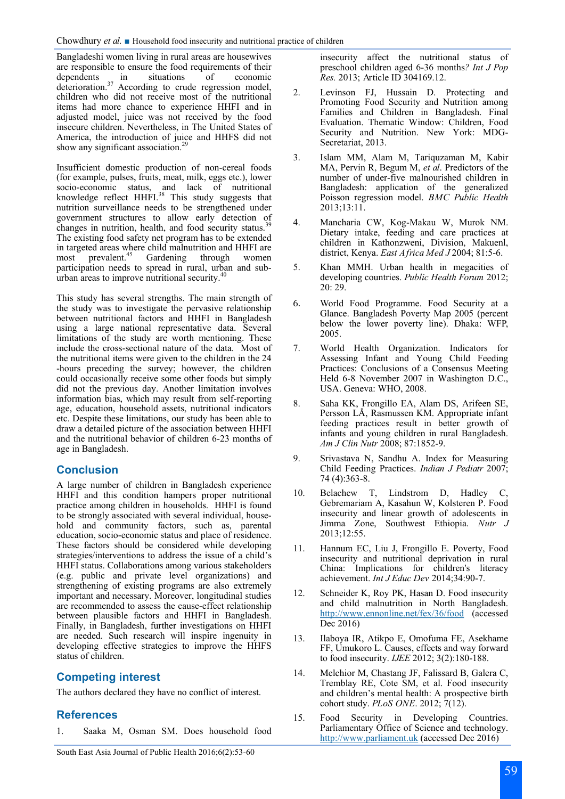Bangladeshi women living in rural areas are housewives are responsible to ensure the food requirements of their<br>dependents in situations of economic dependents in situations of economic deterioration. $37$  According to crude regression model, children who did not receive most of the nutritional items had more chance to experience HHFI and in adjusted model, juice was not received by the food insecure children. Nevertheless, in The United States of America, the introduction of juice and HHFS did not show any significant association.<sup>29</sup>

Insufficient domestic production of non-cereal foods (for example, pulses, fruits, meat, milk, eggs etc.), lower socio-economic status, and lack of nutritional knowledge reflect HHFI.<sup>38</sup> This study suggests that nutrition surveillance needs to be strengthened under government structures to allow early detection of changes in nutrition, health, and food security status.<sup>39</sup> The existing food safety net program has to be extended in targeted areas where child malnutrition and HHFI are most prevalent.<sup>45</sup> Gardening through women participation needs to spread in rural, urban and suburban areas to improve nutritional security. $40$ 

This study has several strengths. The main strength of the study was to investigate the pervasive relationship between nutritional factors and HHFI in Bangladesh using a large national representative data. Several limitations of the study are worth mentioning. These include the cross-sectional nature of the data. Most of the nutritional items were given to the children in the 24 -hours preceding the survey; however, the children could occasionally receive some other foods but simply did not the previous day. Another limitation involves information bias, which may result from self-reporting age, education, household assets, nutritional indicators etc. Despite these limitations, our study has been able to draw a detailed picture of the association between HHFI and the nutritional behavior of children 6-23 months of age in Bangladesh.

# **Conclusion**

A large number of children in Bangladesh experience HHFI and this condition hampers proper nutritional practice among children in households. HHFI is found to be strongly associated with several individual, household and community factors, such as, parental education, socio-economic status and place of residence. These factors should be considered while developing strategies/interventions to address the issue of a child's HHFI status. Collaborations among various stakeholders (e.g. public and private level organizations) and strengthening of existing programs are also extremely important and necessary. Moreover, longitudinal studies are recommended to assess the cause-effect relationship between plausible factors and HHFI in Bangladesh. Finally, in Bangladesh, further investigations on HHFI are needed. Such research will inspire ingenuity in developing effective strategies to improve the HHFS status of children.

# **Competing interest**

The authors declared they have no conflict of interest.

# **References**

1. Saaka M, Osman SM. Does household food

insecurity affect the nutritional status of preschool children aged 6-36 months*? Int J Pop Res.* 2013; Article ID 304169.12.

- 2. Levinson FJ, Hussain D. Protecting and Promoting Food Security and Nutrition among Families and Children in Bangladesh. Final Evaluation. Thematic Window: Children, Food Security and Nutrition. New York: MDG-Secretariat, 2013.
- 3. Islam MM, Alam M, Tariquzaman M, Kabir MA, Pervin R, Begum M, *et al*. Predictors of the number of under-five malnourished children in Bangladesh: application of the generalized Poisson regression model. *BMC Public Health* 2013;13:11.
- 4. Mancharia CW, Kog-Makau W, Murok NM. Dietary intake, feeding and care practices at children in Kathonzweni, Division, Makuenl, district, Kenya. *East Africa Med J* 2004; 81:5-6.
- 5. Khan MMH. Urban health in megacities of developing countries. *Public Health Forum* 2012; 20: 29.
- 6. World Food Programme. Food Security at a Glance. Bangladesh Poverty Map 2005 (percent below the lower poverty line). Dhaka: WFP, 2005.
- 7. World Health Organization. Indicators for Assessing Infant and Young Child Feeding Practices: Conclusions of a Consensus Meeting Held 6-8 November 2007 in Washington D.C., USA. Geneva: WHO, 2008.
- 8. Saha KK, Frongillo EA, Alam DS, Arifeen SE, Persson LÅ, Rasmussen KM. Appropriate infant feeding practices result in better growth of infants and young children in rural Bangladesh. *Am J Clin Nutr* 2008; 87:1852-9.
- 9. Srivastava N, Sandhu A. Index for Measuring Child Feeding Practices. *Indian J Pediatr* 2007; 74 (4):363-8.
- 10. Belachew T, Lindstrom D, Hadley C, Gebremariam A, Kasahun W, Kolsteren P. Food insecurity and linear growth of adolescents in Jimma Zone, Southwest Ethiopia. *Nutr J* 2013;12:55.
- 11. Hannum EC, Liu J, Frongillo E. Poverty, Food insecurity and nutritional deprivation in rural China: Implications for children's literacy achievement. *Int J Educ Dev* 2014;34:90-7.
- 12. Schneider K, Roy PK, Hasan D. Food insecurity and child malnutrition in North Bangladesh. <http://www.ennonline.net/fex/36/food> (accessed Dec 2016)
- 13. Ilaboya IR, Atikpo E, Omofuma FE, Asekhame FF, Umukoro L. Causes, effects and way forward to food insecurity. *IJEE* 2012; 3(2):180-188.
- 14. Melchior M, Chastang JF, Falissard B, Galera C, Tremblay RE, Cote SM, et al. Food insecurity and children's mental health: A prospective birth cohort study. *PLoS ONE*. 2012; 7(12).
- 15. Food Security in Developing Countries. Parliamentary Office of Science and technology. <http://www.parliament.uk> (accessed Dec 2016)